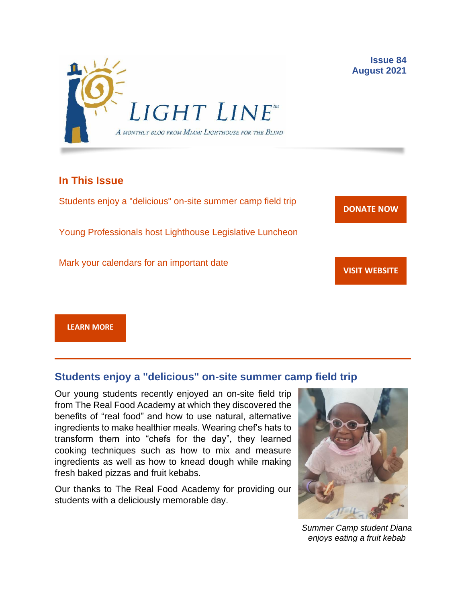

## **In This Issue**

Students enjoy a "delicious" on-site summer camp field trip

Young Professionals host Lighthouse Legislative Luncheon

Mark your calendars for an important date

**[DONATE](http://r20.rs6.net/tn.jsp?f=001gO2GdS4FPEo240mg91k3c6HYN6ozMk69i8vrHipkUVt0nirc6iRjFsnZMWQfGpPyX5jA608dzGsffulXhDWN87JpF0RNMOsrEiEcR9KIVEjaVePiHS9eny3wE9Zh3DibFuDj7zvtMQCXwVbtALXi3_cnEJaT8XURz8jTt9N4yGe0rF3VoM8Y5mGhwRavYQ9CBe_fM4GbcQM=&c=A5xWHdmKDISdqoVssYAkMfhtdAlzuVskAHp3ASewWzRv5OnB7XubeA==&ch=KFi9wV6k5Z13Ef8Qia4fM-L584mfsNs0RWKjkNv-Bombmn4mZKg5Lw==) NOW**

**VISIT [WEBSITE](http://r20.rs6.net/tn.jsp?f=001gO2GdS4FPEo240mg91k3c6HYN6ozMk69i8vrHipkUVt0nirc6iRjFp5OLUPp5xz8iJ7cM7NxB4ho-pmJZegg-UUCCff2BfEg0hVFNWmithw5L76cpbdpMlw1ZgIRlQC6OwIp0zOZvc1jcAvQYtup6ODb3HvWFX4_CFaBZinytweEHJSIK44w1g==&c=A5xWHdmKDISdqoVssYAkMfhtdAlzuVskAHp3ASewWzRv5OnB7XubeA==&ch=KFi9wV6k5Z13Ef8Qia4fM-L584mfsNs0RWKjkNv-Bombmn4mZKg5Lw==)**

**[LEARN MORE](http://www.miamilighthouse.org)**

# **Students enjoy a "delicious" on-site summer camp field trip**

Our young students recently enjoyed an on-site field trip from The Real Food Academy at which they discovered the benefits of "real food" and how to use natural, alternative ingredients to make healthier meals. Wearing chef's hats to transform them into "chefs for the day", they learned cooking techniques such as how to mix and measure ingredients as well as how to knead dough while making fresh baked pizzas and fruit kebabs.

Our thanks to The Real Food Academy for providing our students with a deliciously memorable day.



*Summer Camp student Diana enjoys eating a fruit kebab*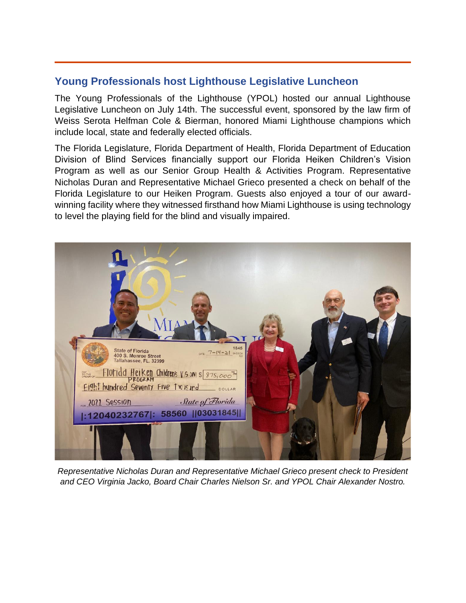# **Young Professionals host Lighthouse Legislative Luncheon**

The Young Professionals of the Lighthouse (YPOL) hosted our annual Lighthouse Legislative Luncheon on July 14th. The successful event, sponsored by the law firm of Weiss Serota Helfman Cole & Bierman, honored Miami Lighthouse champions which include local, state and federally elected officials.

The Florida Legislature, Florida Department of Health, Florida Department of Education Division of Blind Services financially support our Florida Heiken Children's Vision Program as well as our Senior Group Health & Activities Program. Representative Nicholas Duran and Representative Michael Grieco presented a check on behalf of the Florida Legislature to our Heiken Program. Guests also enjoyed a tour of our awardwinning facility where they witnessed firsthand how Miami Lighthouse is using technology to level the playing field for the blind and visually impaired.



*Representative Nicholas Duran and Representative Michael Grieco present check to President and CEO Virginia Jacko, Board Chair Charles Nielson Sr. and YPOL Chair Alexander Nostro.*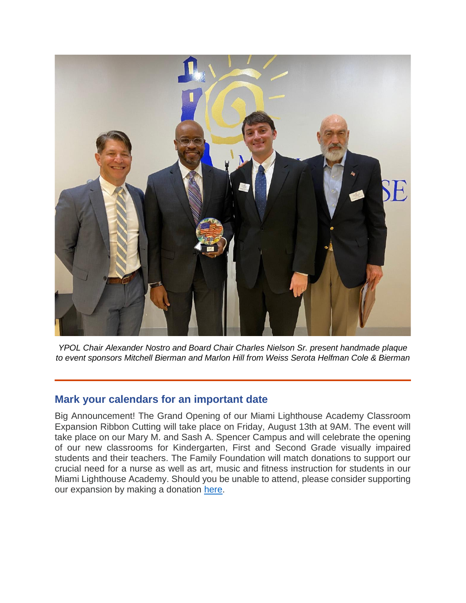

*YPOL Chair Alexander Nostro and Board Chair Charles Nielson Sr. present handmade plaque to event sponsors Mitchell Bierman and Marlon Hill from Weiss Serota Helfman Cole & Bierman*

### **Mark your calendars for an important date**

Big Announcement! The Grand Opening of our Miami Lighthouse Academy Classroom Expansion Ribbon Cutting will take place on Friday, August 13th at 9AM. The event will take place on our Mary M. and Sash A. Spencer Campus and will celebrate the opening of our new classrooms for Kindergarten, First and Second Grade visually impaired students and their teachers. The Family Foundation will match donations to support our crucial need for a nurse as well as art, music and fitness instruction for students in our Miami Lighthouse Academy. Should you be unable to attend, please consider supporting our expansion by making a donation [here.](https://secure.miamilighthouse.org/FifthFloorClassroomExpansion.asp)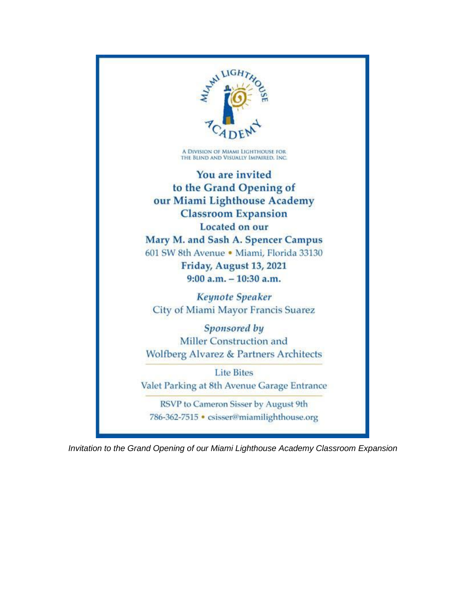

*Invitation to the Grand Opening of our Miami Lighthouse Academy Classroom Expansion*